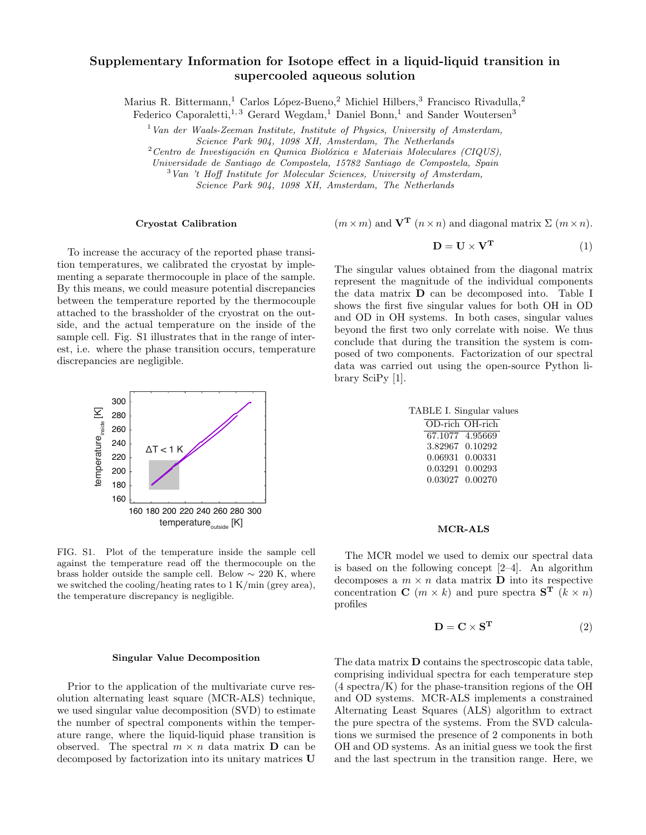# Supplementary Information for Isotope effect in a liquid-liquid transition in supercooled aqueous solution

Marius R. Bittermann,<sup>1</sup> Carlos López-Bueno,<sup>2</sup> Michiel Hilbers,<sup>3</sup> Francisco Rivadulla,<sup>2</sup>

Federico Caporaletti,<sup>1,3</sup> Gerard Wegdam,<sup>1</sup> Daniel Bonn,<sup>1</sup> and Sander Woutersen<sup>3</sup>

 $1$  Van der Waals-Zeeman Institute, Institute of Physics, University of Amsterdam, Science Park 904, 1098 XH, Amsterdam, The Netherlands

 $2$ Centro de Investigación en Qumica Biolóxica e Materiais Moleculares (CIQUS),

Universidade de Santiago de Compostela, 15782 Santiago de Compostela, Spain

<sup>3</sup>Van 't Hoff Institute for Molecular Sciences, University of Amsterdam,

Science Park 904, 1098 XH, Amsterdam, The Netherlands

#### Cryostat Calibration

 $(m \times m)$  and  $V<sup>T</sup>$   $(n \times n)$  and diagonal matrix  $\Sigma$   $(m \times n)$ .

To increase the accuracy of the reported phase transition temperatures, we calibrated the cryostat by implementing a separate thermocouple in place of the sample. By this means, we could measure potential discrepancies between the temperature reported by the thermocouple attached to the brassholder of the cryostrat on the outside, and the actual temperature on the inside of the sample cell. Fig. S1 illustrates that in the range of interest, i.e. where the phase transition occurs, temperature discrepancies are negligible.



FIG. S1. Plot of the temperature inside the sample cell against the temperature read off the thermocouple on the brass holder outside the sample cell. Below  $\sim$  220 K, where we switched the cooling/heating rates to 1 K/min (grey area), the temperature discrepancy is negligible.

### Singular Value Decomposition

Prior to the application of the multivariate curve resolution alternating least square (MCR-ALS) technique, we used singular value decomposition (SVD) to estimate the number of spectral components within the temperature range, where the liquid-liquid phase transition is observed. The spectral  $m \times n$  data matrix **D** can be decomposed by factorization into its unitary matrices U

$$
\mathbf{D} = \mathbf{U} \times \mathbf{V}^{\mathbf{T}} \tag{1}
$$

The singular values obtained from the diagonal matrix epresent the magnitude of the individual components the data matrix  $\bf{D}$  can be decomposed into. Table I hows the first five singular values for both OH in OD and OD in OH systems. In both cases, singular values beyond the first two only correlate with noise. We thus conclude that during the transition the system is composed of two components. Factorization of our spectral data was carried out using the open-source Python library SciPy [1].

| TABLE I. Singular values |
|--------------------------|
| OD-rich OH-rich          |
| 67.1077 4.95669          |
| 3.82967 0.10292          |

| 3.82967 0.10292 |  |
|-----------------|--|
| 0.06931 0.00331 |  |
| 0.03291 0.00293 |  |
| 0.03027 0.00270 |  |

### MCR-ALS

The MCR model we used to demix our spectral data is based on the following concept [2–4]. An algorithm decomposes a  $m \times n$  data matrix  $\mathbf D$  into its respective concentration **C** ( $m \times k$ ) and pure spectra **S<sup>T</sup>** ( $k \times n$ ) profiles

$$
\mathbf{D} = \mathbf{C} \times \mathbf{S}^{\mathbf{T}} \tag{2}
$$

The data matrix D contains the spectroscopic data table, comprising individual spectra for each temperature step  $(4 \text{ spectra/K})$  for the phase-transition regions of the OH and OD systems. MCR-ALS implements a constrained Alternating Least Squares (ALS) algorithm to extract the pure spectra of the systems. From the SVD calculations we surmised the presence of 2 components in both OH and OD systems. As an initial guess we took the first and the last spectrum in the transition range. Here, we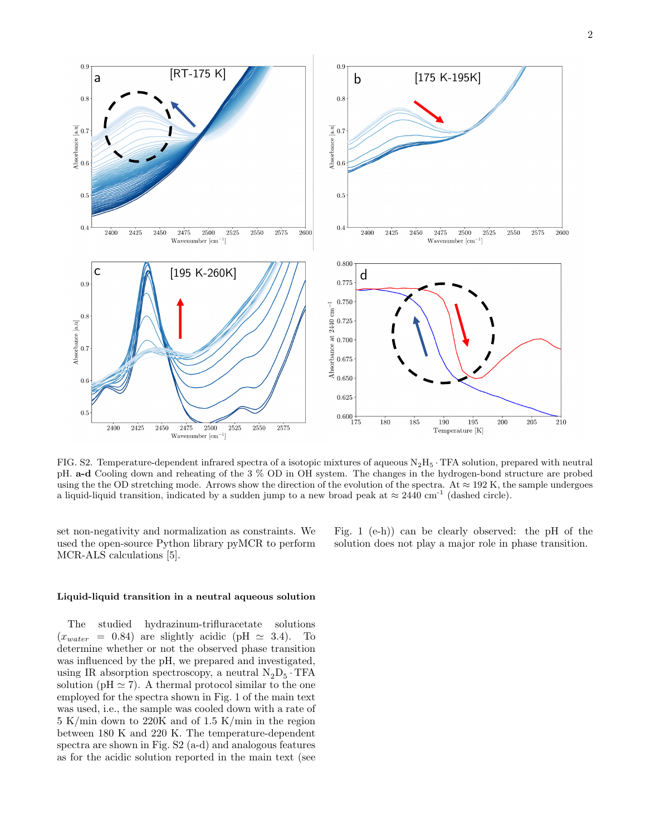

FIG. S2. Temperature-dependent infrared spectra of a isotopic mixtures of aqueous  $N_2H_5$ . TFA solution, prepared with neutral pH. a-d Cooling down and reheating of the 3 % OD in OH system. The changes in the hydrogen-bond structure are probed using the the OD stretching mode. Arrows show the direction of the evolution of the spectra. At  $\approx 192$  K, the sample undergoes a liquid-liquid transition, indicated by a sudden jump to a new broad peak at  $\approx 2440 \text{ cm}^{-1}$  (dashed circle).

set non-negativity and normalization as constraints. We used the open-source Python library pyMCR to perform MCR-ALS calculations [5].

Fig. 1 (e-h)) can be clearly observed: the pH of the solution does not play a major role in phase transition.

## Liquid-liquid transition in a neutral aqueous solution

The studied hydrazinum-trifluracetate solutions  $(x_{water} = 0.84)$  are slightly acidic (pH  $\simeq$  3.4). To determine whether or not the observed phase transition was influenced by the pH, we prepared and investigated, using IR absorption spectroscopy, a neutral  $\mathrm{N}_2\mathrm{D}_5\cdot\mathrm{TFA}$ solution ( $pH \approx 7$ ). A thermal protocol similar to the one employed for the spectra shown in Fig. 1 of the main text was used, i.e., the sample was cooled down with a rate of 5 K/min down to 220K and of 1.5 K/min in the region between 180 K and 220 K. The temperature-dependent spectra are shown in Fig. S2 (a-d) and analogous features as for the acidic solution reported in the main text (see